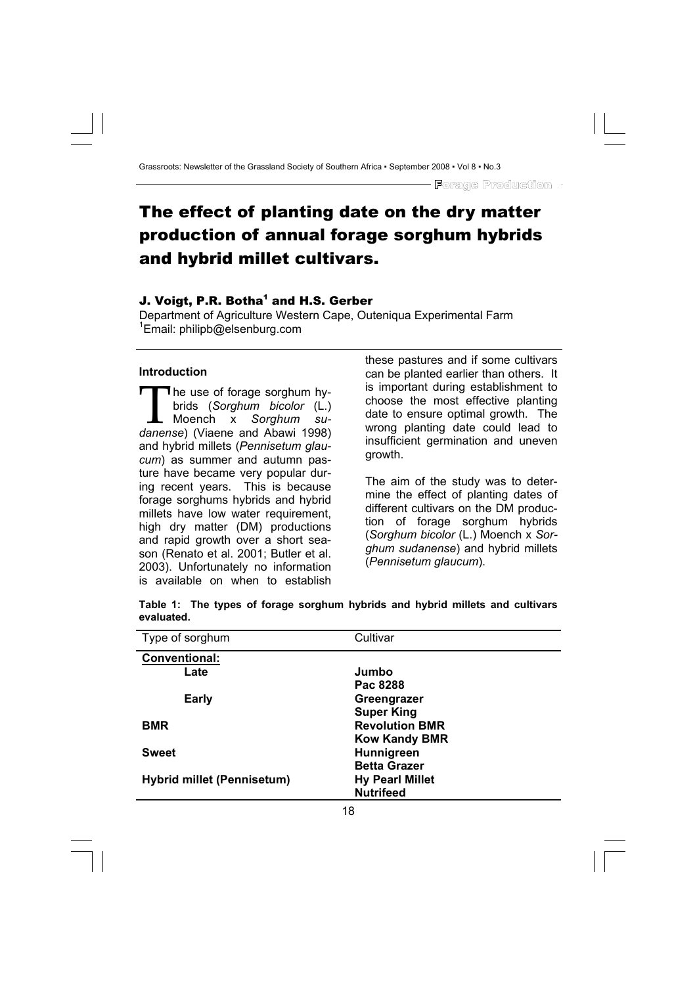# The effect of planting date on the dry matter production of annual forage sorghum hybrids and hybrid millet cultivars.

### J. Voigt, P.R. Botha $^{\rm 1}$  and H.S. Gerber

Department of Agriculture Western Cape, Outeniqua Experimental Farm 1 Email: philipb@elsenburg.com

#### **Introduction**

The use of forage sorghum hy-<br>brids (Sorghum bicolor (L.)<br>- Moench x Sorghum subrids (*Sorghum bicolor* (L.) L Moench x Sorghum *danense*) (Viaene and Abawi 1998) and hybrid millets (*Pennisetum glaucum*) as summer and autumn pasture have became very popular during recent years. This is because forage sorghums hybrids and hybrid millets have low water requirement, high dry matter (DM) productions and rapid growth over a short season (Renato et al. 2001; Butler et al. 2003). Unfortunately no information is available on when to establish these pastures and if some cultivars can be planted earlier than others. It is important during establishment to choose the most effective planting date to ensure optimal growth. The wrong planting date could lead to insufficient germination and uneven growth.

The aim of the study was to determine the effect of planting dates of different cultivars on the DM production of forage sorghum hybrids (*Sorghum bicolor* (L.) Moench x *Sorghum sudanense*) and hybrid millets (*Pennisetum glaucum*).

| Type of sorghum                   | Cultivar               |
|-----------------------------------|------------------------|
| Conventional:                     |                        |
| Late                              | Jumbo                  |
|                                   | Pac 8288               |
| <b>Early</b>                      | Greengrazer            |
|                                   | <b>Super King</b>      |
| BMR                               | <b>Revolution BMR</b>  |
|                                   | <b>Kow Kandy BMR</b>   |
| <b>Sweet</b>                      | Hunnigreen             |
|                                   | <b>Betta Grazer</b>    |
| <b>Hybrid millet (Pennisetum)</b> | <b>Hy Pearl Millet</b> |
|                                   | <b>Nutrifeed</b>       |

**Table 1: The types of forage sorghum hybrids and hybrid millets and cultivars evaluated.**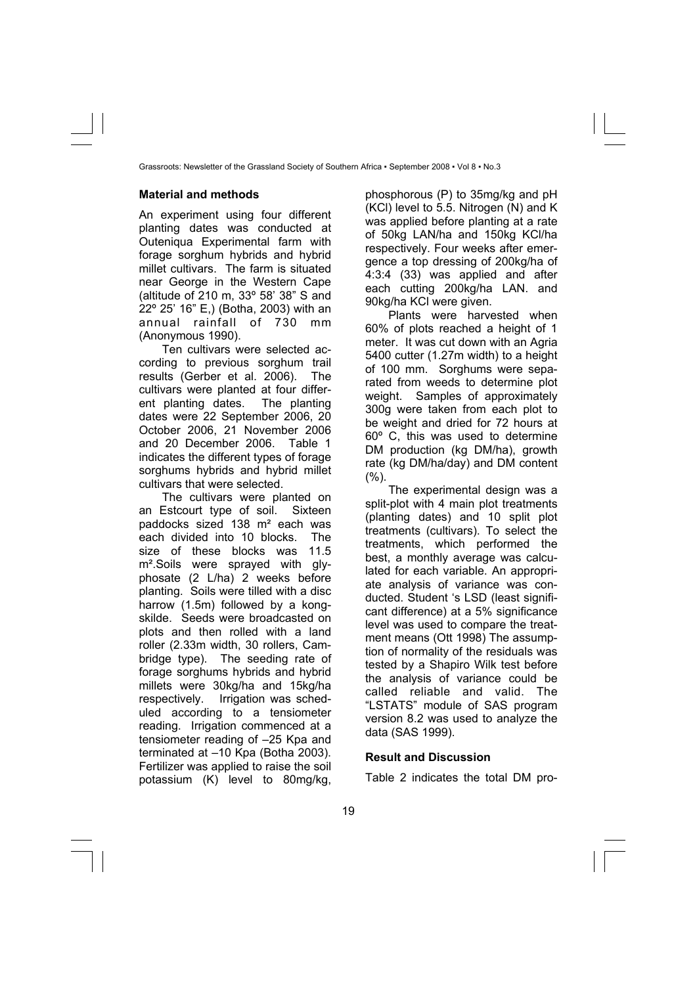## **Material and methods**

An experiment using four different planting dates was conducted at Outeniqua Experimental farm with forage sorghum hybrids and hybrid millet cultivars. The farm is situated near George in the Western Cape (altitude of 210 m, 33º 58' 38" S and 22º 25' 16" E,) (Botha, 2003) with an annual rainfall of 730 mm (Anonymous 1990).

Ten cultivars were selected according to previous sorghum trail results (Gerber et al. 2006). The cultivars were planted at four different planting dates. The planting dates were 22 September 2006, 20 October 2006, 21 November 2006 and 20 December 2006. Table 1 indicates the different types of forage sorghums hybrids and hybrid millet cultivars that were selected.

The cultivars were planted on an Estcourt type of soil. Sixteen paddocks sized 138 m² each was each divided into 10 blocks. The size of these blocks was 11.5 m².Soils were sprayed with glyphosate (2 L/ha) 2 weeks before planting. Soils were tilled with a disc harrow (1.5m) followed by a kongskilde. Seeds were broadcasted on plots and then rolled with a land roller (2.33m width, 30 rollers, Cambridge type). The seeding rate of forage sorghums hybrids and hybrid millets were 30kg/ha and 15kg/ha respectively. Irrigation was scheduled according to a tensiometer reading. Irrigation commenced at a tensiometer reading of –25 Kpa and terminated at –10 Kpa (Botha 2003). Fertilizer was applied to raise the soil potassium (K) level to 80mg/kg,

phosphorous (P) to 35mg/kg and pH (KCl) level to 5.5. Nitrogen (N) and K was applied before planting at a rate of 50kg LAN/ha and 150kg KCl/ha respectively. Four weeks after emergence a top dressing of 200kg/ha of 4:3:4 (33) was applied and after each cutting 200kg/ha LAN. and 90kg/ha KCl were given.

Plants were harvested when 60% of plots reached a height of 1 meter. It was cut down with an Agria 5400 cutter (1.27m width) to a height of 100 mm. Sorghums were separated from weeds to determine plot weight. Samples of approximately 300g were taken from each plot to be weight and dried for 72 hours at 60º C, this was used to determine DM production (kg DM/ha), growth rate (kg DM/ha/day) and DM content  $(%).$ 

The experimental design was a split-plot with 4 main plot treatments (planting dates) and 10 split plot treatments (cultivars). To select the treatments, which performed the best, a monthly average was calculated for each variable. An appropriate analysis of variance was conducted. Student 's LSD (least significant difference) at a 5% significance level was used to compare the treatment means (Ott 1998) The assumption of normality of the residuals was tested by a Shapiro Wilk test before the analysis of variance could be called reliable and valid. The "LSTATS" module of SAS program version 8.2 was used to analyze the data (SAS 1999).

#### **Result and Discussion**

Table 2 indicates the total DM pro-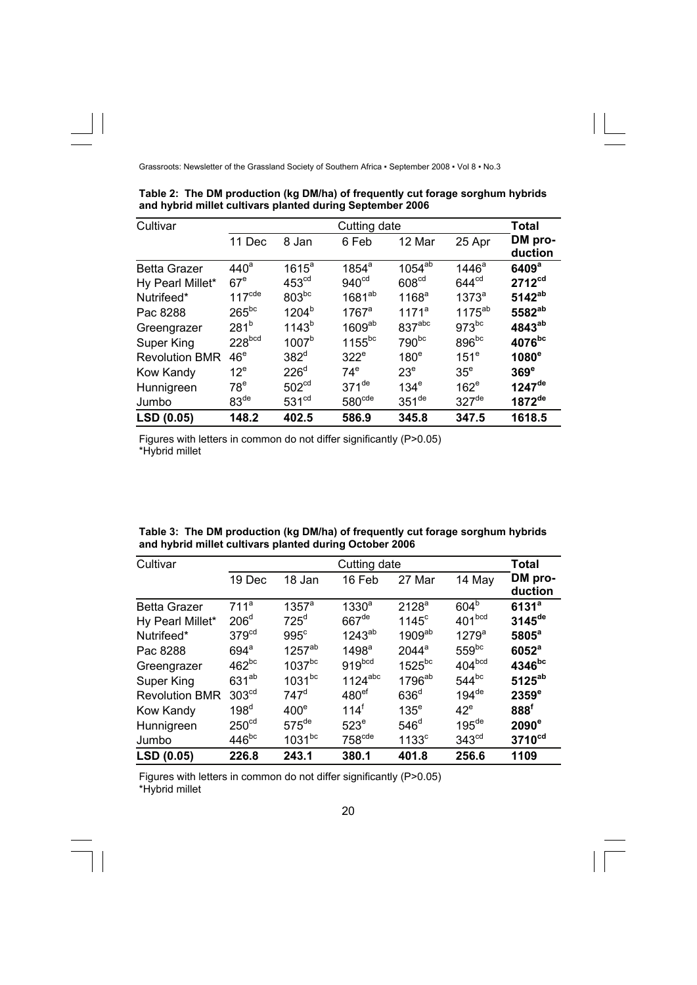| Cultivar              | Cutting date       |                   |                     |                     |                     |                      |
|-----------------------|--------------------|-------------------|---------------------|---------------------|---------------------|----------------------|
|                       | 11 Dec             | 8 Jan             | 6 Feb               | 12 Mar              | 25 Apr              | DM pro-<br>duction   |
| <b>Betta Grazer</b>   | 440 <sup>a</sup>   | $1615^a$          | $1854^a$            | $1054^{ab}$         | 1446 <sup>a</sup>   | 6409 <sup>a</sup>    |
| Hy Pearl Millet*      | 67 <sup>e</sup>    | 453 <sup>cd</sup> | 940 <sup>cd</sup>   | 608 <sup>cd</sup>   | 644 <sup>cd</sup>   | 2712 <sup>cd</sup>   |
| Nutrifeed*            | $117^{\text{cde}}$ | $803^{bc}$        | $1681^{ab}$         | 1168 <sup>a</sup>   | 1373 <sup>a</sup>   | $5142^{ab}$          |
| Pac 8288              | $265^{bc}$         | 1204 <sup>b</sup> | $1767$ <sup>a</sup> | 1171 <sup>a</sup>   | $1175^{ab}$         | 5582 <sup>ab</sup>   |
| Greengrazer           | 281 <sup>b</sup>   | 1143 <sup>b</sup> | 1609 <sup>ab</sup>  | 837 <sup>abc</sup>  | $973^{bc}$          | 4843 <sup>ab</sup>   |
| Super King            | 228 <sub>bcd</sub> | 1007 <sup>b</sup> | $1155^{bc}$         | 790bc               | 896 <sup>bc</sup>   | 4076bc               |
| <b>Revolution BMR</b> | 46 <sup>e</sup>    | $382^d$           | 322 <sup>e</sup>    | 180 <sup>e</sup>    | 151 <sup>e</sup>    | $1080^\circ$         |
| Kow Kandy             | $12^e$             | $226^{\circ}$     | $74^\mathrm{e}$     | 23 <sup>e</sup>     | 35 <sup>e</sup>     | $369^\circ$          |
| Hunnigreen            | $78^e$             | 502 <sup>cd</sup> | $371$ <sup>de</sup> | 134 <sup>e</sup>    | $162^e$             | $1247$ <sup>de</sup> |
| Jumbo                 | 83 <sup>de</sup>   | 531 <sup>cd</sup> | 580 <sup>cde</sup>  | $351$ <sup>de</sup> | $327$ <sup>de</sup> | $1872$ <sup>de</sup> |
| LSD (0.05)            | 148.2              | 402.5             | 586.9               | 345.8               | 347.5               | 1618.5               |

**Table 2: The DM production (kg DM/ha) of frequently cut forage sorghum hybrids and hybrid millet cultivars planted during September 2006** 

Figures with letters in common do not differ significantly (P>0.05) \*Hybrid millet

| Table 3: The DM production (kg DM/ha) of frequently cut forage sorghum hybrids |  |
|--------------------------------------------------------------------------------|--|
| and hybrid millet cultivars planted during October 2006                        |  |

| Cultivar              | Cutting date       |                      |                       |                     |                     | <b>Total</b>         |
|-----------------------|--------------------|----------------------|-----------------------|---------------------|---------------------|----------------------|
|                       | 19 Dec             | 18 Jan               | 16 Feb                | 27 Mar              | 14 May              | DM pro-<br>duction   |
| <b>Betta Grazer</b>   | 711 <sup>a</sup>   | $1357^a$             | 1330 <sup>a</sup>     | 2128 <sup>a</sup>   | 604 <sup>b</sup>    | 6131 <sup>a</sup>    |
| Hy Pearl Millet*      | 206 <sup>d</sup>   | $725^d$              | $667$ <sup>de</sup>   | $1145^{\circ}$      | 401bcd              | $3145$ <sup>de</sup> |
| Nutrifeed*            | 379 <sup>cd</sup>  | 995 <sup>c</sup>     | $1243^{ab}$           | $1909^{ab}$         | 1279 <sup>a</sup>   | $5805^a$             |
| Pac 8288              | $694$ <sup>a</sup> | 1257 <sup>ab</sup>   | 1498 <sup>a</sup>     | $2044$ <sup>a</sup> | $559^{bc}$          | 6052 <sup>a</sup>    |
| Greengrazer           | $462^{bc}$         | $1037$ <sup>bc</sup> | 919 <sup>bcd</sup>    | $1525^{bc}$         | 404 <sup>bcd</sup>  | 4346 <sup>bc</sup>   |
| Super King            | $631^{ab}$         | $1031^{bc}$          | $1124$ <sup>abc</sup> | 1796 <sup>ab</sup>  | $544^{bc}$          | $5125^{ab}$          |
| <b>Revolution BMR</b> | 303 <sup>cd</sup>  | $747^d$              | 480 <sup>ef</sup>     | 636 <sup>d</sup>    | $194$ <sup>de</sup> | 2359 <sup>e</sup>    |
| Kow Kandy             | 198 <sup>d</sup>   | $400^\circ$          | $114^{\dagger}$       | $135^e$             | $42^e$              | 888 <sup>f</sup>     |
| Hunnigreen            | 250 <sup>cd</sup>  | $575$ <sup>de</sup>  | 523 <sup>e</sup>      | 546 <sup>d</sup>    | $195$ <sup>de</sup> | $2090^\circ$         |
| Jumbo                 | $446^{bc}$         | $1031^{bc}$          | 758 <sup>cde</sup>    | 1133 <sup>c</sup>   | 343 <sup>cd</sup>   | 3710 <sup>cd</sup>   |
| LSD (0.05)            | 226.8              | 243.1                | 380.1                 | 401.8               | 256.6               | 1109                 |

Figures with letters in common do not differ significantly (P>0.05) \*Hybrid millet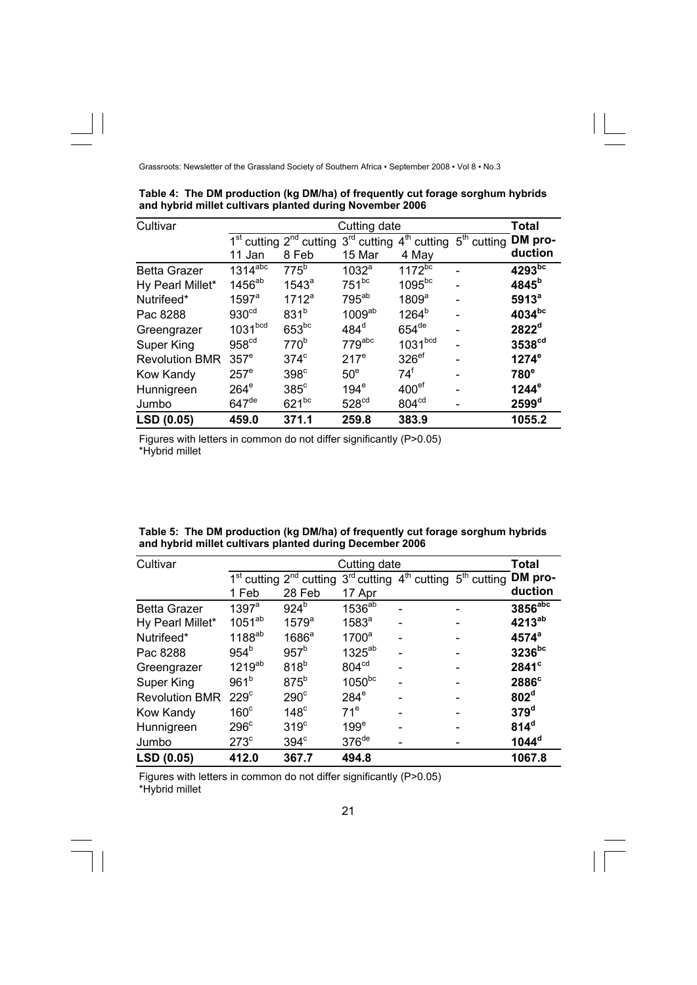| Cultivar              | Cutting date        |                                                                                                                         |                    |                     | <b>Total</b> |                      |
|-----------------------|---------------------|-------------------------------------------------------------------------------------------------------------------------|--------------------|---------------------|--------------|----------------------|
|                       |                     | 1 <sup>st</sup> cutting 2 <sup>nd</sup> cutting 3 <sup>rd</sup> cutting 4 <sup>th</sup> cutting 5 <sup>th</sup> cutting |                    |                     |              | DM pro-              |
|                       | 11 Jan              | 8 Feb                                                                                                                   | 15 Mar             | 4 May               |              | duction              |
| <b>Betta Grazer</b>   | $1314^{\text{abc}}$ | $775^b$                                                                                                                 | 1032 <sup>a</sup>  | $1172^{bc}$         |              | $4293$ <sub>bc</sub> |
| Hy Pearl Millet*      | 1456 <sup>ab</sup>  | 1543 <sup>a</sup>                                                                                                       | $751^{bc}$         | $1095^{bc}$         |              | $4845^b$             |
| Nutrifeed*            | $1597$ <sup>a</sup> | $1712^a$                                                                                                                | $795^{ab}$         | 1809 <sup>a</sup>   |              | 5913 <sup>a</sup>    |
| Pac 8288              | 930 <sup>cd</sup>   | 831 <sup>b</sup>                                                                                                        | 1009 <sup>ab</sup> | $1264^b$            |              | $4034^{bc}$          |
| Greengrazer           | 1031 <sup>bcd</sup> | $653^{bc}$                                                                                                              | $484^d$            | $654$ <sup>de</sup> |              | 2822 <sup>d</sup>    |
| Super King            | 958 <sup>cd</sup>   | 770 <sup>b</sup>                                                                                                        | $779$ abc          | 1031 <sup>bcd</sup> |              | 3538 <sup>cd</sup>   |
| <b>Revolution BMR</b> | 357 <sup>e</sup>    | $374^\circ$                                                                                                             | 217 <sup>e</sup>   | 326 <sup>ef</sup>   |              | $1274^\circ$         |
| Kow Kandy             | 257 <sup>e</sup>    | 398 <sup>c</sup>                                                                                                        | 50 <sup>e</sup>    | $74^{\text{f}}$     |              | $780^\circ$          |
| Hunnigreen            | $264^\mathrm{e}$    | $385^{\circ}$                                                                                                           | 194 <sup>e</sup>   | 400 <sup>ef</sup>   |              | $1244^\circ$         |
| Jumbo                 | $647$ <sup>de</sup> | $621^{bc}$                                                                                                              | 528 <sup>cd</sup>  | 804 <sup>cd</sup>   |              | 2599 <sup>d</sup>    |
| LSD (0.05)            | 459.0               | 371.1                                                                                                                   | 259.8              | 383.9               |              | 1055.2               |

**Table 4: The DM production (kg DM/ha) of frequently cut forage sorghum hybrids and hybrid millet cultivars planted during November 2006** 

Figures with letters in common do not differ significantly (P>0.05) \*Hybrid millet

| Table 5: The DM production (kg DM/ha) of frequently cut forage sorghum hybrids |  |
|--------------------------------------------------------------------------------|--|
| and hybrid millet cultivars planted during December 2006                       |  |

| Cultivar              | Cutting date        |                                                 |                     |                                                    | <b>Total</b> |                         |
|-----------------------|---------------------|-------------------------------------------------|---------------------|----------------------------------------------------|--------------|-------------------------|
|                       |                     | 1 <sup>st</sup> cutting 2 <sup>nd</sup> cutting |                     | $3^{rd}$ cutting $4^{th}$ cutting $5^{th}$ cutting |              | DM pro-                 |
|                       | 1 Feb               | 28 Feb                                          | 17 Apr              |                                                    |              | duction                 |
| <b>Betta Grazer</b>   | $1397$ <sup>a</sup> | $924^{\circ}$                                   | 1536 <sup>ab</sup>  |                                                    |              | $3856^{\overline{abc}}$ |
| Hy Pearl Millet*      | $1051^{ab}$         | 1579 <sup>a</sup>                               | 1583 <sup>a</sup>   |                                                    |              | 4213 <sup>ab</sup>      |
| Nutrifeed*            | $1188^{ab}$         | 1686 <sup>a</sup>                               | 1700 <sup>a</sup>   |                                                    |              | 4574 <sup>a</sup>       |
| Pac 8288              | 954 <sup>b</sup>    | 957 <sup>b</sup>                                | $1325^{ab}$         |                                                    |              | $3236^{bc}$             |
| Greengrazer           | $1219^{ab}$         | 818 <sup>b</sup>                                | 804 <sup>cd</sup>   |                                                    |              | $2841$ <sup>c</sup>     |
| Super King            | 961 <sup>b</sup>    | $875^b$                                         | 1050bc              |                                                    |              | 2886 <sup>c</sup>       |
| <b>Revolution BMR</b> | 229 <sup>c</sup>    | $290^\circ$                                     | $284^e$             |                                                    |              | 802 <sup>d</sup>        |
| Kow Kandy             | $160^\circ$         | $148^\circ$                                     | 71 <sup>e</sup>     |                                                    |              | 379 <sup>d</sup>        |
| Hunnigreen            | 296 <sup>c</sup>    | 319 <sup>c</sup>                                | 199 <sup>e</sup>    |                                                    |              | 814 <sup>d</sup>        |
| Jumbo                 | 273 <sup>c</sup>    | $394^\circ$                                     | $376$ <sup>de</sup> |                                                    |              | $1044^d$                |
| LSD (0.05)            | 412.0               | 367.7                                           | 494.8               |                                                    |              | 1067.8                  |

Figures with letters in common do not differ significantly (P>0.05) \*Hybrid millet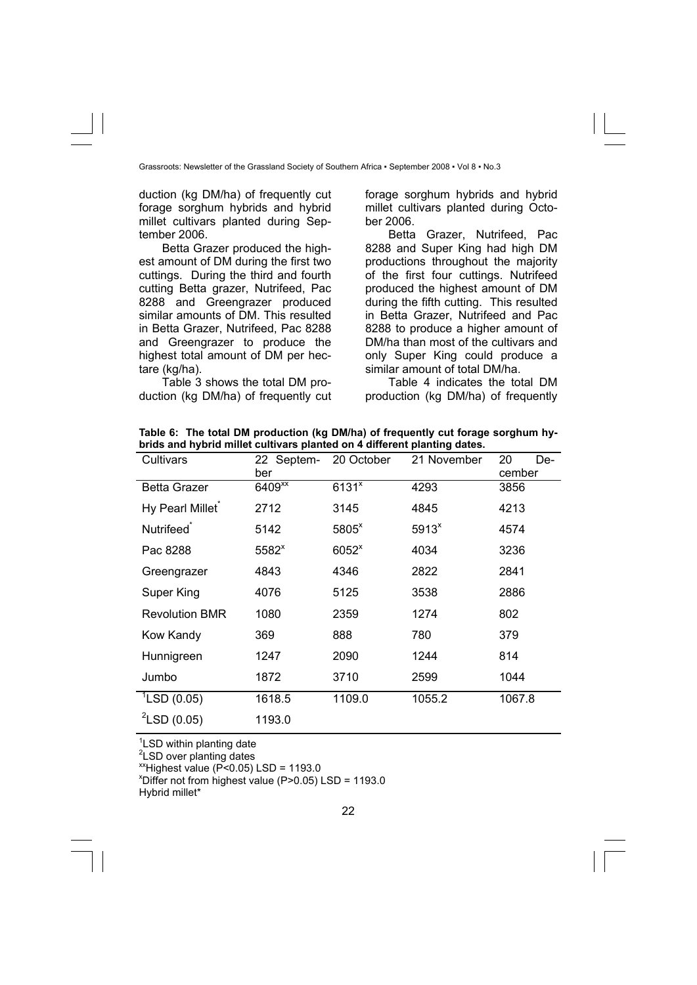duction (kg DM/ha) of frequently cut forage sorghum hybrids and hybrid millet cultivars planted during September 2006.

Betta Grazer produced the highest amount of DM during the first two cuttings. During the third and fourth cutting Betta grazer, Nutrifeed, Pac 8288 and Greengrazer produced similar amounts of DM. This resulted in Betta Grazer, Nutrifeed, Pac 8288 and Greengrazer to produce the highest total amount of DM per hectare (kg/ha).

Table 3 shows the total DM production (kg DM/ha) of frequently cut forage sorghum hybrids and hybrid millet cultivars planted during October 2006.

Betta Grazer, Nutrifeed, Pac 8288 and Super King had high DM productions throughout the majority of the first four cuttings. Nutrifeed produced the highest amount of DM during the fifth cutting. This resulted in Betta Grazer, Nutrifeed and Pac 8288 to produce a higher amount of DM/ha than most of the cultivars and only Super King could produce a similar amount of total DM/ha.

Table 4 indicates the total DM production (kg DM/ha) of frequently

**Table 6: The total DM production (kg DM/ha) of frequently cut forage sorghum hybrids and hybrid millet cultivars planted on 4 different planting dates.** 

| Cultivars              | 22 Septem-<br>ber    | 20 October          | 21 November       | 20<br>De-<br>cember |
|------------------------|----------------------|---------------------|-------------------|---------------------|
| <b>Betta Grazer</b>    | $6409$ <sup>xx</sup> | $6131$ <sup>x</sup> | 4293              | 3856                |
| Hy Pearl Millet        | 2712                 | 3145                | 4845              | 4213                |
| Nutrifeed <sup>®</sup> | 5142                 | 5805 <sup>x</sup>   | 5913 <sup>x</sup> | 4574                |
| Pac 8288               | 5582 <sup>x</sup>    | 6052 <sup>x</sup>   | 4034              | 3236                |
| Greengrazer            | 4843                 | 4346                | 2822              | 2841                |
| Super King             | 4076                 | 5125                | 3538              | 2886                |
| <b>Revolution BMR</b>  | 1080                 | 2359                | 1274              | 802                 |
| Kow Kandy              | 369                  | 888                 | 780               | 379                 |
| Hunnigreen             | 1247                 | 2090                | 1244              | 814                 |
| Jumbo                  | 1872                 | 3710                | 2599              | 1044                |
| $^1$ LSD (0.05)        | 1618.5               | 1109.0              | 1055.2            | 1067.8              |
| $^{2}$ LSD (0.05)      | 1193.0               |                     |                   |                     |

<sup>1</sup>LSD within planting date

<sup>2</sup>LSD over planting dates

 $^{x}$ Highest value (P<0.05) LSD = 1193.0

 $x$ Differ not from highest value (P>0.05) LSD = 1193.0

Hybrid millet\*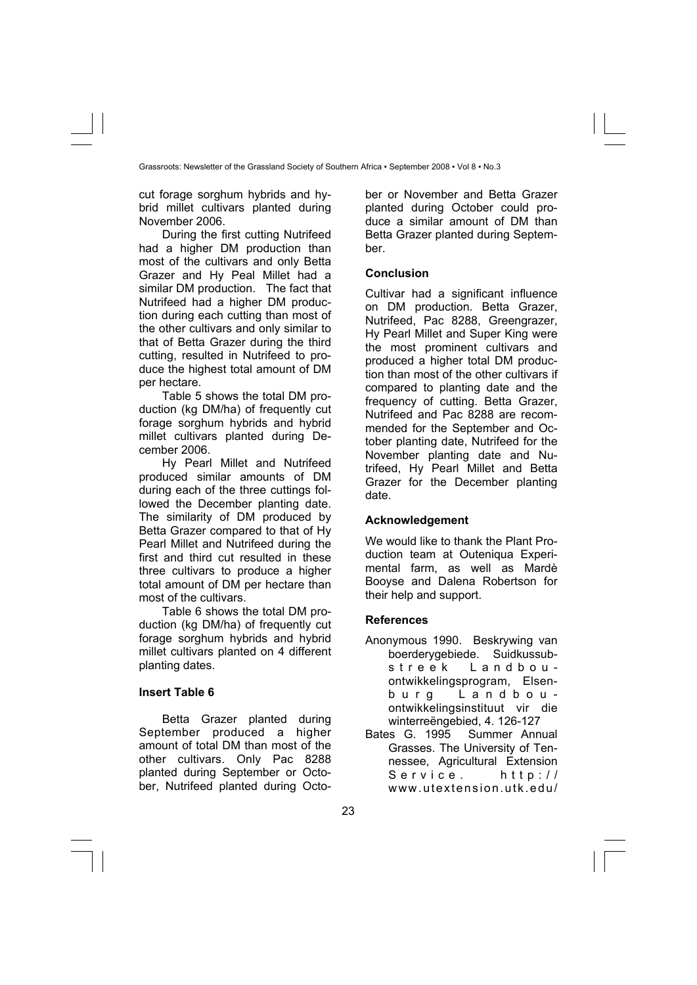cut forage sorghum hybrids and hybrid millet cultivars planted during November 2006.

During the first cutting Nutrifeed had a higher DM production than most of the cultivars and only Betta Grazer and Hy Peal Millet had a similar DM production. The fact that Nutrifeed had a higher DM production during each cutting than most of the other cultivars and only similar to that of Betta Grazer during the third cutting, resulted in Nutrifeed to produce the highest total amount of DM per hectare.

Table 5 shows the total DM production (kg DM/ha) of frequently cut forage sorghum hybrids and hybrid millet cultivars planted during December 2006.

Hy Pearl Millet and Nutrifeed produced similar amounts of DM during each of the three cuttings followed the December planting date. The similarity of DM produced by Betta Grazer compared to that of Hy Pearl Millet and Nutrifeed during the first and third cut resulted in these three cultivars to produce a higher total amount of DM per hectare than most of the cultivars.

Table 6 shows the total DM production (kg DM/ha) of frequently cut forage sorghum hybrids and hybrid millet cultivars planted on 4 different planting dates.

# **Insert Table 6**

Betta Grazer planted during September produced a higher amount of total DM than most of the other cultivars. Only Pac 8288 planted during September or October, Nutrifeed planted during October or November and Betta Grazer planted during October could produce a similar amount of DM than Betta Grazer planted during September.

## **Conclusion**

Cultivar had a significant influence on DM production. Betta Grazer, Nutrifeed, Pac 8288, Greengrazer, Hy Pearl Millet and Super King were the most prominent cultivars and produced a higher total DM production than most of the other cultivars if compared to planting date and the frequency of cutting. Betta Grazer, Nutrifeed and Pac 8288 are recommended for the September and October planting date, Nutrifeed for the November planting date and Nutrifeed, Hy Pearl Millet and Betta Grazer for the December planting date.

# **Acknowledgement**

We would like to thank the Plant Production team at Outeniqua Experimental farm, as well as Mardè Booyse and Dalena Robertson for their help and support.

# **References**

- Anonymous 1990. Beskrywing van boerderygebiede. Suidkussubstreek Landbouontwikkelingsprogram, Elsenburg Landbouontwikkelingsinstituut vir die winterreëngebied, 4. 126-127
- Bates G. 1995 Summer Annual Grasses. The University of Tennessee, Agricultural Extension Service. http:// www.utextension.utk.edu/